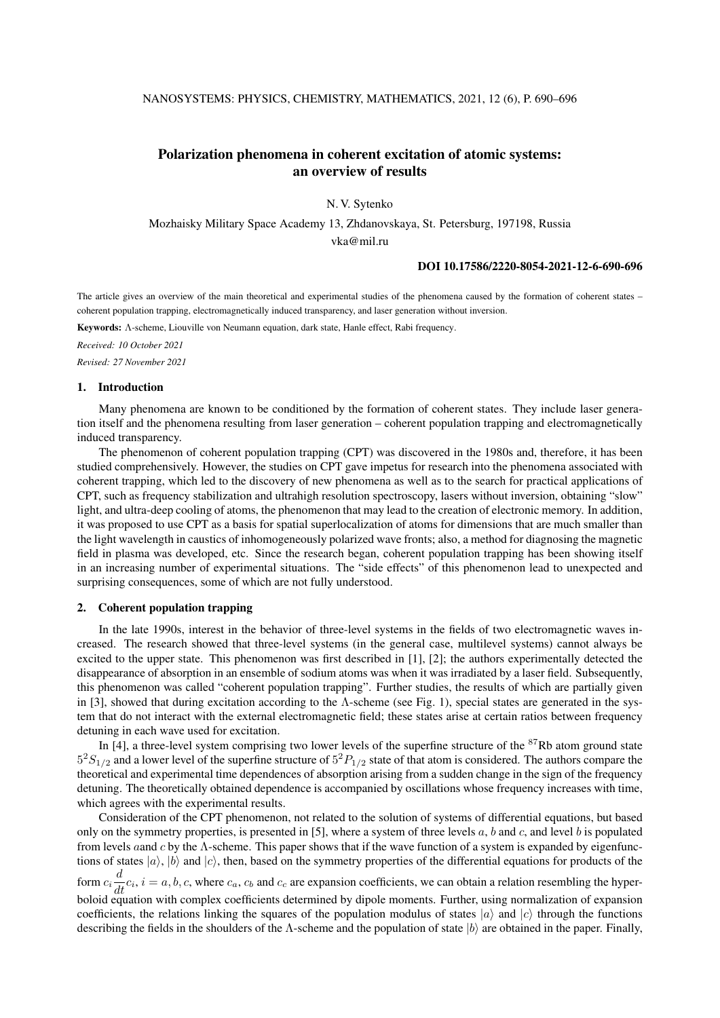# Polarization phenomena in coherent excitation of atomic systems: an overview of results

N. V. Sytenko

Mozhaisky Military Space Academy 13, Zhdanovskaya, St. Petersburg, 197198, Russia vka@mil.ru

### DOI 10.17586/2220-8054-2021-12-6-690-696

The article gives an overview of the main theoretical and experimental studies of the phenomena caused by the formation of coherent states – coherent population trapping, electromagnetically induced transparency, and laser generation without inversion.

Keywords: Λ-scheme, Liouville von Neumann equation, dark state, Hanle effect, Rabi frequency.

*Received: 10 October 2021 Revised: 27 November 2021*

### 1. Introduction

Many phenomena are known to be conditioned by the formation of coherent states. They include laser generation itself and the phenomena resulting from laser generation – coherent population trapping and electromagnetically induced transparency.

The phenomenon of coherent population trapping (CPT) was discovered in the 1980s and, therefore, it has been studied comprehensively. However, the studies on CPT gave impetus for research into the phenomena associated with coherent trapping, which led to the discovery of new phenomena as well as to the search for practical applications of CPT, such as frequency stabilization and ultrahigh resolution spectroscopy, lasers without inversion, obtaining "slow" light, and ultra-deep cooling of atoms, the phenomenon that may lead to the creation of electronic memory. In addition, it was proposed to use CPT as a basis for spatial superlocalization of atoms for dimensions that are much smaller than the light wavelength in caustics of inhomogeneously polarized wave fronts; also, a method for diagnosing the magnetic field in plasma was developed, etc. Since the research began, coherent population trapping has been showing itself in an increasing number of experimental situations. The "side effects" of this phenomenon lead to unexpected and surprising consequences, some of which are not fully understood.

## 2. Coherent population trapping

In the late 1990s, interest in the behavior of three-level systems in the fields of two electromagnetic waves increased. The research showed that three-level systems (in the general case, multilevel systems) cannot always be excited to the upper state. This phenomenon was first described in [1], [2]; the authors experimentally detected the disappearance of absorption in an ensemble of sodium atoms was when it was irradiated by a laser field. Subsequently, this phenomenon was called "coherent population trapping". Further studies, the results of which are partially given in [3], showed that during excitation according to the  $\Lambda$ -scheme (see Fig. 1), special states are generated in the system that do not interact with the external electromagnetic field; these states arise at certain ratios between frequency detuning in each wave used for excitation.

In [4], a three-level system comprising two lower levels of the superfine structure of the <sup>87</sup>Rb atom ground state  $5^{2}S_{1/2}$  and a lower level of the superfine structure of  $5^{2}P_{1/2}$  state of that atom is considered. The authors compare the theoretical and experimental time dependences of absorption arising from a sudden change in the sign of the frequency detuning. The theoretically obtained dependence is accompanied by oscillations whose frequency increases with time, which agrees with the experimental results.

Consideration of the CPT phenomenon, not related to the solution of systems of differential equations, but based only on the symmetry properties, is presented in [5], where a system of three levels  $a, b$  and  $c,$  and level  $b$  is populated from levels aand c by the Λ-scheme. This paper shows that if the wave function of a system is expanded by eigenfunctions of states  $|a\rangle$ ,  $|b\rangle$  and  $|c\rangle$ , then, based on the symmetry properties of the differential equations for products of the form  $c_i \frac{d}{dt} c_i$ ,  $i = a, b, c$ , where  $c_a$ ,  $c_b$  and  $c_c$  are expansion coefficients, we can obtain a relation resembling the hyperboloid equation with complex coefficients determined by dipole moments. Further, using normalization of expansion coefficients, the relations linking the squares of the population modulus of states  $|a\rangle$  and  $|c\rangle$  through the functions describing the fields in the shoulders of the Λ-scheme and the population of state  $|b\rangle$  are obtained in the paper. Finally,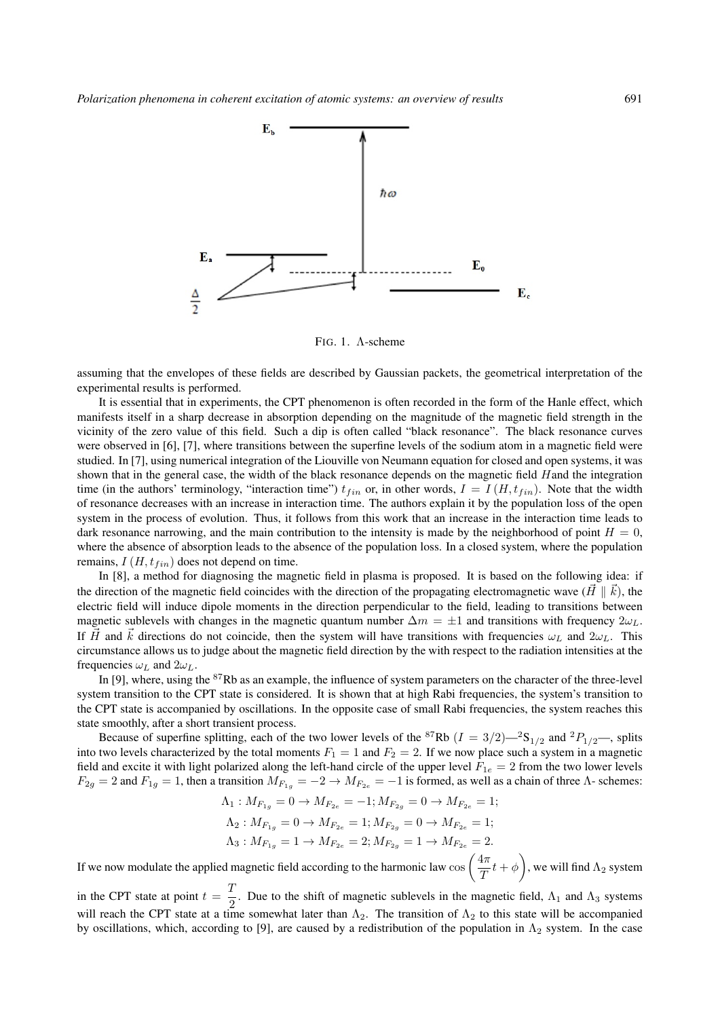

FIG. 1. Λ-scheme

assuming that the envelopes of these fields are described by Gaussian packets, the geometrical interpretation of the experimental results is performed.

It is essential that in experiments, the CPT phenomenon is often recorded in the form of the Hanle effect, which manifests itself in a sharp decrease in absorption depending on the magnitude of the magnetic field strength in the vicinity of the zero value of this field. Such a dip is often called "black resonance". The black resonance curves were observed in [6], [7], where transitions between the superfine levels of the sodium atom in a magnetic field were studied. In [7], using numerical integration of the Liouville von Neumann equation for closed and open systems, it was shown that in the general case, the width of the black resonance depends on the magnetic field Hand the integration time (in the authors' terminology, "interaction time")  $t_{fin}$  or, in other words,  $I = I(H, t_{fin})$ . Note that the width of resonance decreases with an increase in interaction time. The authors explain it by the population loss of the open system in the process of evolution. Thus, it follows from this work that an increase in the interaction time leads to dark resonance narrowing, and the main contribution to the intensity is made by the neighborhood of point  $H = 0$ , where the absence of absorption leads to the absence of the population loss. In a closed system, where the population remains,  $I(H, t_{fin})$  does not depend on time.

In [8], a method for diagnosing the magnetic field in plasma is proposed. It is based on the following idea: if the direction of the magnetic field coincides with the direction of the propagating electromagnetic wave  $(H \parallel \vec{k})$ , the electric field will induce dipole moments in the direction perpendicular to the field, leading to transitions between magnetic sublevels with changes in the magnetic quantum number  $\Delta m = \pm 1$  and transitions with frequency  $2\omega_L$ . If  $\vec{H}$  and  $\vec{k}$  directions do not coincide, then the system will have transitions with frequencies  $\omega_L$  and  $2\omega_L$ . This circumstance allows us to judge about the magnetic field direction by the with respect to the radiation intensities at the frequencies  $\omega_L$  and  $2\omega_L$ .

In [9], where, using the <sup>87</sup>Rb as an example, the influence of system parameters on the character of the three-level system transition to the CPT state is considered. It is shown that at high Rabi frequencies, the system's transition to the CPT state is accompanied by oscillations. In the opposite case of small Rabi frequencies, the system reaches this state smoothly, after a short transient process.

Because of superfine splitting, each of the two lower levels of the <sup>87</sup>Rb ( $I = 3/2$ )—<sup>2</sup>S<sub>1/2</sub> and <sup>2</sup>P<sub>1/2</sub>—, splits into two levels characterized by the total moments  $F_1 = 1$  and  $F_2 = 2$ . If we now place such a system in a magnetic field and excite it with light polarized along the left-hand circle of the upper level  $F_{1e} = 2$  from the two lower levels  $F_{2g} = 2$  and  $F_{1g} = 1$ , then a transition  $M_{F_{1g}} = -2 \rightarrow M_{F_{2e}} = -1$  is formed, as well as a chain of three  $\Lambda$ - schemes:

$$
\Lambda_1: M_{F_{1g}} = 0 \to M_{F_{2e}} = -1; M_{F_{2g}} = 0 \to M_{F_{2e}} = 1;
$$
  
\n
$$
\Lambda_2: M_{F_{1g}} = 0 \to M_{F_{2e}} = 1; M_{F_{2g}} = 0 \to M_{F_{2e}} = 1;
$$
  
\n
$$
\Lambda_3: M_{F_{1g}} = 1 \to M_{F_{2e}} = 2; M_{F_{2g}} = 1 \to M_{F_{2e}} = 2.
$$

If we now modulate the applied magnetic field according to the harmonic law  $\cos\left(\frac{4\pi}{\sigma}\right)$  $\frac{4\pi}{T}t+\phi\biggr),$  we will find  $\Lambda_2$  system

in the CPT state at point  $t = \frac{T}{2}$  $\frac{2}{2}$ . Due to the shift of magnetic sublevels in the magnetic field,  $\Lambda_1$  and  $\Lambda_3$  systems will reach the CPT state at a time somewhat later than  $\Lambda_2$ . The transition of  $\Lambda_2$  to this state will be accompanied by oscillations, which, according to [9], are caused by a redistribution of the population in  $\Lambda_2$  system. In the case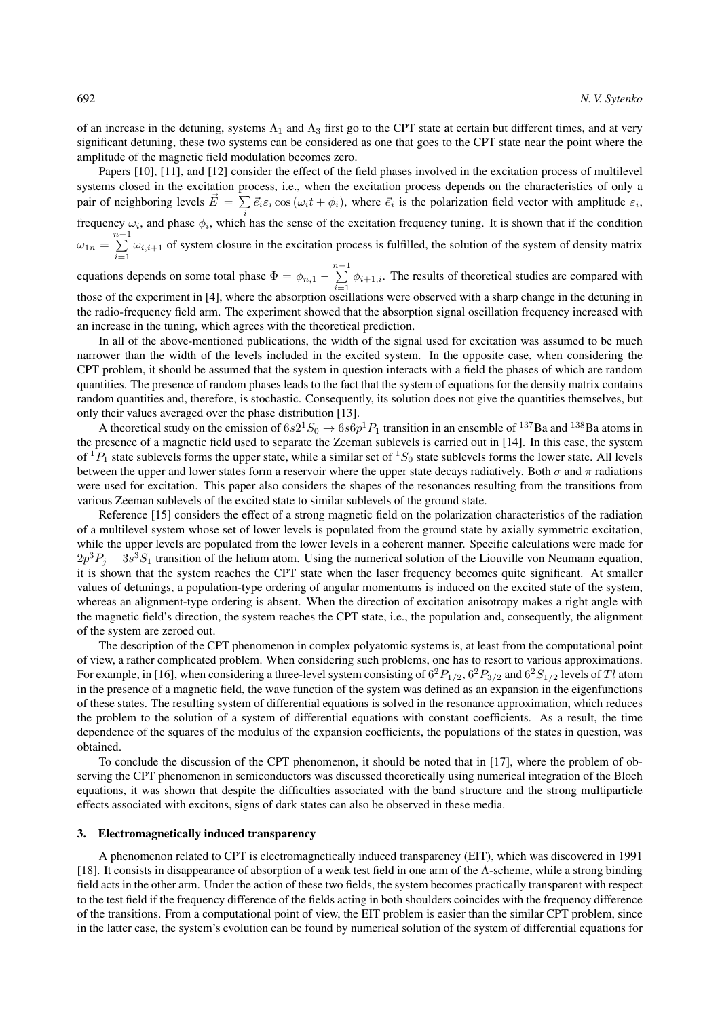of an increase in the detuning, systems  $\Lambda_1$  and  $\Lambda_3$  first go to the CPT state at certain but different times, and at very significant detuning, these two systems can be considered as one that goes to the CPT state near the point where the amplitude of the magnetic field modulation becomes zero.

Papers [10], [11], and [12] consider the effect of the field phases involved in the excitation process of multilevel systems closed in the excitation process, i.e., when the excitation process depends on the characteristics of only a pair of neighboring levels  $\vec{E} = \sum \vec{e_i} \varepsilon_i \cos(\omega_i t + \phi_i)$ , where  $\vec{e_i}$  is the polarization field vector with amplitude  $\varepsilon_i$ , frequency  $\omega_i$ , and phase  $\phi_i$ , which has the sense of the excitation frequency tuning. It is shown that if the condition  $\omega_{1n} = \sum^{n-1}$  $\sum_{i=1} \omega_{i,i+1}$  of system closure in the excitation process is fulfilled, the solution of the system of density matrix

equations depends on some total phase  $\Phi = \phi_{n,1} - \sum^{n-1}$  $\sum_{i=1}^{\infty} \phi_{i+1,i}$ . The results of theoretical studies are compared with those of the experiment in [4], where the absorption oscillations were observed with a sharp change in the detuning in the radio-frequency field arm. The experiment showed that the absorption signal oscillation frequency increased with an increase in the tuning, which agrees with the theoretical prediction.

In all of the above-mentioned publications, the width of the signal used for excitation was assumed to be much narrower than the width of the levels included in the excited system. In the opposite case, when considering the CPT problem, it should be assumed that the system in question interacts with a field the phases of which are random quantities. The presence of random phases leads to the fact that the system of equations for the density matrix contains random quantities and, therefore, is stochastic. Consequently, its solution does not give the quantities themselves, but only their values averaged over the phase distribution [13].

A theoretical study on the emission of  $6s2^1S_0 \to 6s6p^1P_1$  transition in an ensemble of  $^{137}$ Ba and  $^{138}$ Ba atoms in the presence of a magnetic field used to separate the Zeeman sublevels is carried out in [14]. In this case, the system of  ${}^{1}P_1$  state sublevels forms the upper state, while a similar set of  ${}^{1}S_0$  state sublevels forms the lower state. All levels between the upper and lower states form a reservoir where the upper state decays radiatively. Both  $\sigma$  and  $\pi$  radiations were used for excitation. This paper also considers the shapes of the resonances resulting from the transitions from various Zeeman sublevels of the excited state to similar sublevels of the ground state.

Reference [15] considers the effect of a strong magnetic field on the polarization characteristics of the radiation of a multilevel system whose set of lower levels is populated from the ground state by axially symmetric excitation, while the upper levels are populated from the lower levels in a coherent manner. Specific calculations were made for  $2p^3P_j - 3s^3S_1$  transition of the helium atom. Using the numerical solution of the Liouville von Neumann equation, it is shown that the system reaches the CPT state when the laser frequency becomes quite significant. At smaller values of detunings, a population-type ordering of angular momentums is induced on the excited state of the system, whereas an alignment-type ordering is absent. When the direction of excitation anisotropy makes a right angle with the magnetic field's direction, the system reaches the CPT state, i.e., the population and, consequently, the alignment of the system are zeroed out.

The description of the CPT phenomenon in complex polyatomic systems is, at least from the computational point of view, a rather complicated problem. When considering such problems, one has to resort to various approximations. For example, in [16], when considering a three-level system consisting of  $6^2P_{1/2}$ ,  $6^2P_{3/2}$  and  $6^2S_{1/2}$  levels of  $Tl$  atom in the presence of a magnetic field, the wave function of the system was defined as an expansion in the eigenfunctions of these states. The resulting system of differential equations is solved in the resonance approximation, which reduces the problem to the solution of a system of differential equations with constant coefficients. As a result, the time dependence of the squares of the modulus of the expansion coefficients, the populations of the states in question, was obtained.

To conclude the discussion of the CPT phenomenon, it should be noted that in [17], where the problem of observing the CPT phenomenon in semiconductors was discussed theoretically using numerical integration of the Bloch equations, it was shown that despite the difficulties associated with the band structure and the strong multiparticle effects associated with excitons, signs of dark states can also be observed in these media.

### 3. Electromagnetically induced transparency

A phenomenon related to CPT is electromagnetically induced transparency (EIT), which was discovered in 1991 [18]. It consists in disappearance of absorption of a weak test field in one arm of the Λ-scheme, while a strong binding field acts in the other arm. Under the action of these two fields, the system becomes practically transparent with respect to the test field if the frequency difference of the fields acting in both shoulders coincides with the frequency difference of the transitions. From a computational point of view, the EIT problem is easier than the similar CPT problem, since in the latter case, the system's evolution can be found by numerical solution of the system of differential equations for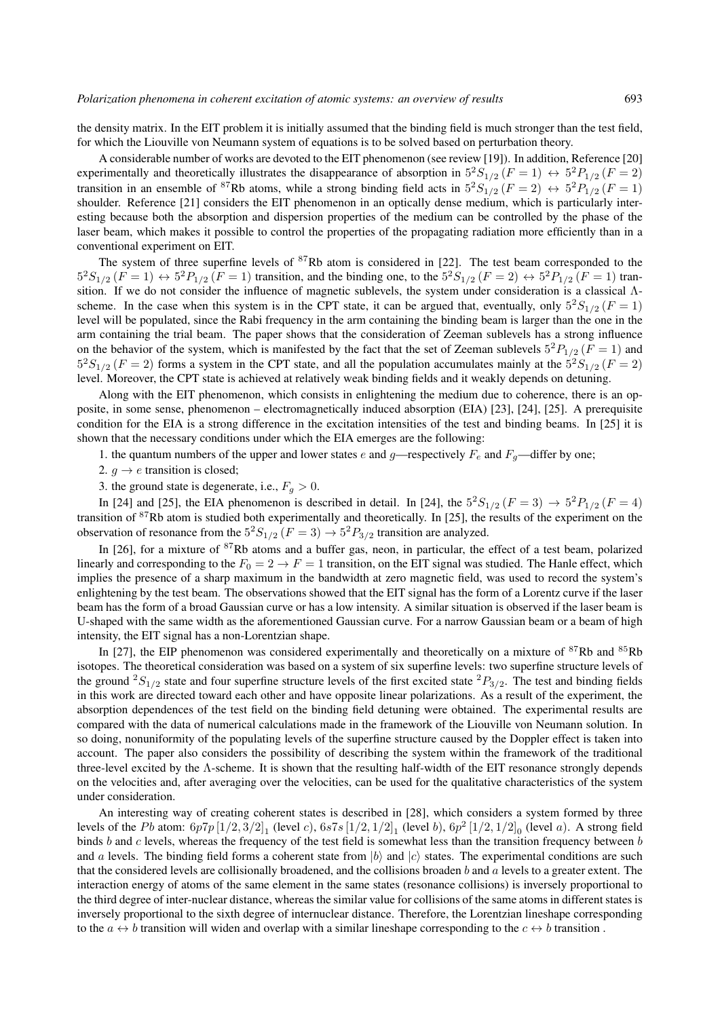the density matrix. In the EIT problem it is initially assumed that the binding field is much stronger than the test field, for which the Liouville von Neumann system of equations is to be solved based on perturbation theory.

A considerable number of works are devoted to the EIT phenomenon (see review [19]). In addition, Reference [20] experimentally and theoretically illustrates the disappearance of absorption in  $5^2S_{1/2}$   $(F = 1) \leftrightarrow 5^2P_{1/2}$   $(F = 2)$ transition in an ensemble of <sup>87</sup>Rb atoms, while a strong binding field acts in  $5^2S_{1/2}$  ( $F = 2$ )  $\leftrightarrow 5^2P_{1/2}$  ( $F = 1$ ) shoulder. Reference [21] considers the EIT phenomenon in an optically dense medium, which is particularly interesting because both the absorption and dispersion properties of the medium can be controlled by the phase of the laser beam, which makes it possible to control the properties of the propagating radiation more efficiently than in a conventional experiment on EIT.

The system of three superfine levels of  $87Rb$  atom is considered in [22]. The test beam corresponded to the  $5^{2}S_{1/2}$   $(F = 1) \leftrightarrow 5^{2}P_{1/2}$   $(F = 1)$  transition, and the binding one, to the  $5^{2}S_{1/2}$   $(F = 2) \leftrightarrow 5^{2}P_{1/2}$   $(F = 1)$  transition. If we do not consider the influence of magnetic sublevels, the system under consideration is a classical Λscheme. In the case when this system is in the CPT state, it can be argued that, eventually, only  $5^2S_{1/2}$  ( $F = 1$ ) level will be populated, since the Rabi frequency in the arm containing the binding beam is larger than the one in the arm containing the trial beam. The paper shows that the consideration of Zeeman sublevels has a strong influence on the behavior of the system, which is manifested by the fact that the set of Zeeman sublevels  $5^{2}P_{1/2}$  ( $F = 1$ ) and  $5^{2}S_{1/2}$  ( $F = 2$ ) forms a system in the CPT state, and all the population accumulates mainly at the  $5^{2}S_{1/2}$  ( $F = 2$ ) level. Moreover, the CPT state is achieved at relatively weak binding fields and it weakly depends on detuning.

Along with the EIT phenomenon, which consists in enlightening the medium due to coherence, there is an opposite, in some sense, phenomenon – electromagnetically induced absorption (EIA) [23], [24], [25]. A prerequisite condition for the EIA is a strong difference in the excitation intensities of the test and binding beams. In [25] it is shown that the necessary conditions under which the EIA emerges are the following:

1. the quantum numbers of the upper and lower states e and g—respectively  $F_e$  and  $F_g$ —differ by one;

2.  $g \rightarrow e$  transition is closed;

3. the ground state is degenerate, i.e.,  $F_q > 0$ .

In [24] and [25], the EIA phenomenon is described in detail. In [24], the  $5^2S_{1/2}$  ( $F = 3$ )  $\rightarrow 5^2P_{1/2}$  ( $F = 4$ ) transition of <sup>87</sup>Rb atom is studied both experimentally and theoretically. In [25], the results of the experiment on the observation of resonance from the  $5^2S_{1/2}$  ( $F = 3$ )  $\rightarrow 5^2P_{3/2}$  transition are analyzed.

In [26], for a mixture of  $87Rb$  atoms and a buffer gas, neon, in particular, the effect of a test beam, polarized linearly and corresponding to the  $F_0 = 2 \rightarrow F = 1$  transition, on the EIT signal was studied. The Hanle effect, which implies the presence of a sharp maximum in the bandwidth at zero magnetic field, was used to record the system's enlightening by the test beam. The observations showed that the EIT signal has the form of a Lorentz curve if the laser beam has the form of a broad Gaussian curve or has a low intensity. A similar situation is observed if the laser beam is U-shaped with the same width as the aforementioned Gaussian curve. For a narrow Gaussian beam or a beam of high intensity, the EIT signal has a non-Lorentzian shape.

In [27], the EIP phenomenon was considered experimentally and theoretically on a mixture of <sup>87</sup>Rb and <sup>85</sup>Rb isotopes. The theoretical consideration was based on a system of six superfine levels: two superfine structure levels of the ground  ${}^2S_{1/2}$  state and four superfine structure levels of the first excited state  ${}^2P_{3/2}$ . The test and binding fields in this work are directed toward each other and have opposite linear polarizations. As a result of the experiment, the absorption dependences of the test field on the binding field detuning were obtained. The experimental results are compared with the data of numerical calculations made in the framework of the Liouville von Neumann solution. In so doing, nonuniformity of the populating levels of the superfine structure caused by the Doppler effect is taken into account. The paper also considers the possibility of describing the system within the framework of the traditional three-level excited by the  $\Lambda$ -scheme. It is shown that the resulting half-width of the EIT resonance strongly depends on the velocities and, after averaging over the velocities, can be used for the qualitative characteristics of the system under consideration.

An interesting way of creating coherent states is described in [28], which considers a system formed by three levels of the Pb atom:  $6p7p[1/2,3/2]_1$  (level c),  $6s7s[1/2,1/2]_1$  (level b),  $6p^2[1/2,1/2]_0$  (level a). A strong field binds  $b$  and  $c$  levels, whereas the frequency of the test field is somewhat less than the transition frequency between  $b$ and a levels. The binding field forms a coherent state from  $|b\rangle$  and  $|c\rangle$  states. The experimental conditions are such that the considered levels are collisionally broadened, and the collisions broaden b and  $a$  levels to a greater extent. The interaction energy of atoms of the same element in the same states (resonance collisions) is inversely proportional to the third degree of inter-nuclear distance, whereas the similar value for collisions of the same atoms in different states is inversely proportional to the sixth degree of internuclear distance. Therefore, the Lorentzian lineshape corresponding to the  $a \leftrightarrow b$  transition will widen and overlap with a similar lineshape corresponding to the  $c \leftrightarrow b$  transition.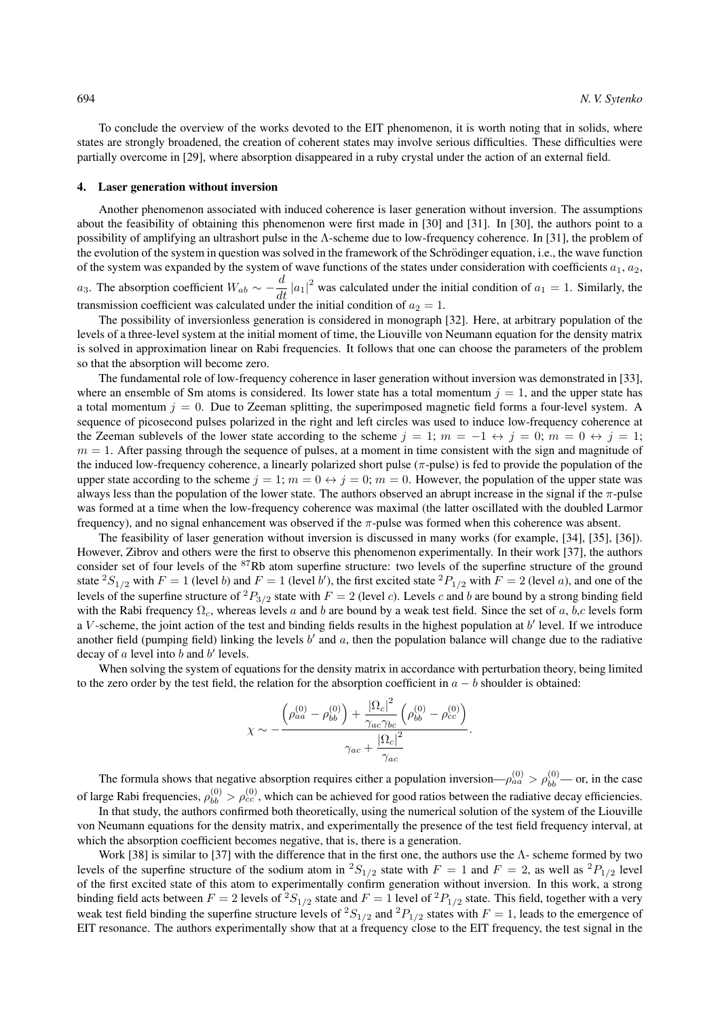To conclude the overview of the works devoted to the EIT phenomenon, it is worth noting that in solids, where states are strongly broadened, the creation of coherent states may involve serious difficulties. These difficulties were partially overcome in [29], where absorption disappeared in a ruby crystal under the action of an external field.

#### 4. Laser generation without inversion

Another phenomenon associated with induced coherence is laser generation without inversion. The assumptions about the feasibility of obtaining this phenomenon were first made in [30] and [31]. In [30], the authors point to a possibility of amplifying an ultrashort pulse in the Λ-scheme due to low-frequency coherence. In [31], the problem of the evolution of the system in question was solved in the framework of the Schrödinger equation, i.e., the wave function of the system was expanded by the system of wave functions of the states under consideration with coefficients  $a_1, a_2$ , a<sub>3</sub>. The absorption coefficient  $W_{ab} \sim -\frac{d}{dt} |a_1|^2$  was calculated under the initial condition of  $a_1 = 1$ . Similarly, the transmission coefficient was calculated under the initial condition of  $a_2 = 1$ .

The possibility of inversionless generation is considered in monograph [32]. Here, at arbitrary population of the levels of a three-level system at the initial moment of time, the Liouville von Neumann equation for the density matrix is solved in approximation linear on Rabi frequencies. It follows that one can choose the parameters of the problem so that the absorption will become zero.

The fundamental role of low-frequency coherence in laser generation without inversion was demonstrated in [33], where an ensemble of Sm atoms is considered. Its lower state has a total momentum  $j = 1$ , and the upper state has a total momentum  $j = 0$ . Due to Zeeman splitting, the superimposed magnetic field forms a four-level system. A sequence of picosecond pulses polarized in the right and left circles was used to induce low-frequency coherence at the Zeeman sublevels of the lower state according to the scheme  $j = 1$ ;  $m = -1 \leftrightarrow j = 0$ ;  $m = 0 \leftrightarrow j = 1$ ;  $m = 1$ . After passing through the sequence of pulses, at a moment in time consistent with the sign and magnitude of the induced low-frequency coherence, a linearly polarized short pulse ( $\pi$ -pulse) is fed to provide the population of the upper state according to the scheme  $j = 1$ ;  $m = 0 \leftrightarrow j = 0$ ;  $m = 0$ . However, the population of the upper state was always less than the population of the lower state. The authors observed an abrupt increase in the signal if the  $\pi$ -pulse was formed at a time when the low-frequency coherence was maximal (the latter oscillated with the doubled Larmor frequency), and no signal enhancement was observed if the π-pulse was formed when this coherence was absent.

The feasibility of laser generation without inversion is discussed in many works (for example, [34], [35], [36]). However, Zibrov and others were the first to observe this phenomenon experimentally. In their work [37], the authors consider set of four levels of the <sup>87</sup>Rb atom superfine structure: two levels of the superfine structure of the ground state  ${}^2S_{1/2}$  with  $F = 1$  (level b) and  $F = 1$  (level b'), the first excited state  ${}^2P_{1/2}$  with  $F = 2$  (level a), and one of the levels of the superfine structure of  ${}^2P_{3/2}$  state with  $F = 2$  (level c). Levels c and b are bound by a strong binding field with the Rabi frequency  $\Omega_c$ , whereas levels a and b are bound by a weak test field. Since the set of a, b,c levels form a  $V$ -scheme, the joint action of the test and binding fields results in the highest population at  $b'$  level. If we introduce another field (pumping field) linking the levels  $b'$  and  $a$ , then the population balance will change due to the radiative decay of  $a$  level into  $b$  and  $b'$  levels.

When solving the system of equations for the density matrix in accordance with perturbation theory, being limited to the zero order by the test field, the relation for the absorption coefficient in  $a - b$  shoulder is obtained:

$$
\chi \sim -\frac{\left(\rho_{aa}^{(0)} - \rho_{bb}^{(0)}\right) + \frac{\left|\Omega_c\right|^2}{\gamma_{ac}\gamma_{bc}}\left(\rho_{bb}^{(0)} - \rho_{cc}^{(0)}\right)}{\gamma_{ac} + \frac{\left|\Omega_c\right|^2}{\gamma_{ac}}}.
$$

The formula shows that negative absorption requires either a population inversion— $\rho_{aa}^{(0)} > \rho_{bb}^{(0)}$ — or, in the case of large Rabi frequencies,  $\rho_{bb}^{(0)} > \rho_{cc}^{(0)}$ , which can be achieved for good ratios between the radiative decay efficiencies.

In that study, the authors confirmed both theoretically, using the numerical solution of the system of the Liouville von Neumann equations for the density matrix, and experimentally the presence of the test field frequency interval, at which the absorption coefficient becomes negative, that is, there is a generation.

Work [38] is similar to [37] with the difference that in the first one, the authors use the  $\Lambda$ - scheme formed by two levels of the superfine structure of the sodium atom in  ${}^2S_{1/2}$  state with  $F = 1$  and  $F = 2$ , as well as  ${}^2P_{1/2}$  level of the first excited state of this atom to experimentally confirm generation without inversion. In this work, a strong binding field acts between  $F = 2$  levels of  ${}^2S_{1/2}$  state and  $F = 1$  level of  ${}^2P_{1/2}$  state. This field, together with a very weak test field binding the superfine structure levels of  ${}^2S_{1/2}$  and  ${}^2P_{1/2}$  states with  $F = 1$ , leads to the emergence of EIT resonance. The authors experimentally show that at a frequency close to the EIT frequency, the test signal in the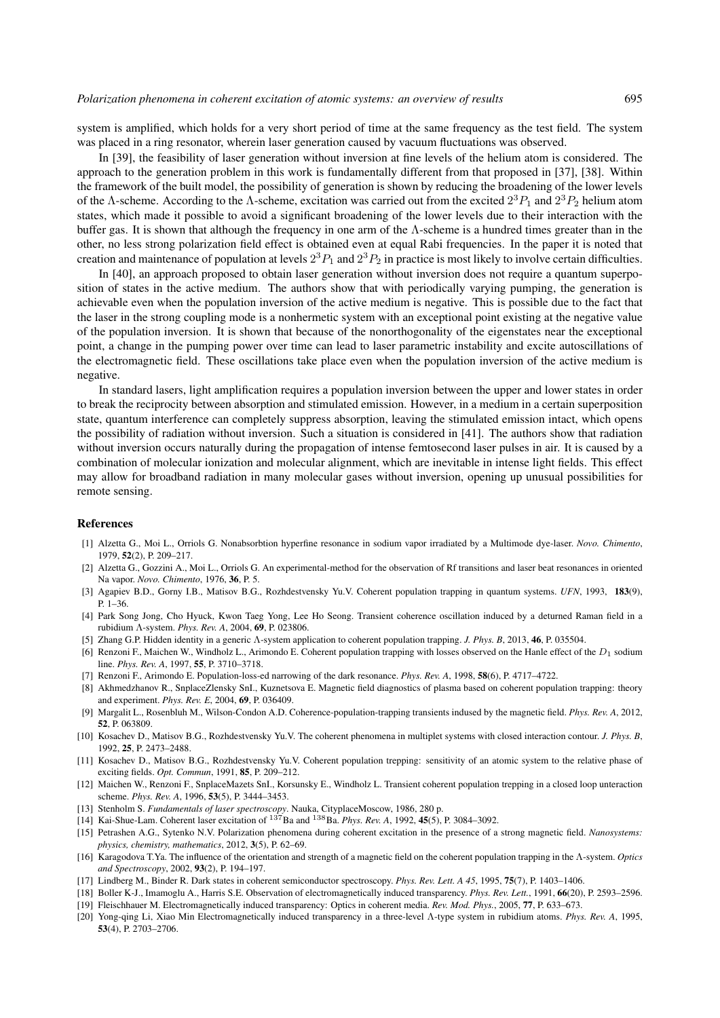system is amplified, which holds for a very short period of time at the same frequency as the test field. The system was placed in a ring resonator, wherein laser generation caused by vacuum fluctuations was observed.

In [39], the feasibility of laser generation without inversion at fine levels of the helium atom is considered. The approach to the generation problem in this work is fundamentally different from that proposed in [37], [38]. Within the framework of the built model, the possibility of generation is shown by reducing the broadening of the lower levels of the  $\Lambda$ -scheme. According to the  $\Lambda$ -scheme, excitation was carried out from the excited  $2^3P_1$  and  $2^3P_2$  helium atom states, which made it possible to avoid a significant broadening of the lower levels due to their interaction with the buffer gas. It is shown that although the frequency in one arm of the Λ-scheme is a hundred times greater than in the other, no less strong polarization field effect is obtained even at equal Rabi frequencies. In the paper it is noted that creation and maintenance of population at levels  $2^3P_1$  and  $2^3P_2$  in practice is most likely to involve certain difficulties.

In [40], an approach proposed to obtain laser generation without inversion does not require a quantum superposition of states in the active medium. The authors show that with periodically varying pumping, the generation is achievable even when the population inversion of the active medium is negative. This is possible due to the fact that the laser in the strong coupling mode is a nonhermetic system with an exceptional point existing at the negative value of the population inversion. It is shown that because of the nonorthogonality of the eigenstates near the exceptional point, a change in the pumping power over time can lead to laser parametric instability and excite autoscillations of the electromagnetic field. These oscillations take place even when the population inversion of the active medium is negative.

In standard lasers, light amplification requires a population inversion between the upper and lower states in order to break the reciprocity between absorption and stimulated emission. However, in a medium in a certain superposition state, quantum interference can completely suppress absorption, leaving the stimulated emission intact, which opens the possibility of radiation without inversion. Such a situation is considered in [41]. The authors show that radiation without inversion occurs naturally during the propagation of intense femtosecond laser pulses in air. It is caused by a combination of molecular ionization and molecular alignment, which are inevitable in intense light fields. This effect may allow for broadband radiation in many molecular gases without inversion, opening up unusual possibilities for remote sensing.

### References

- [1] Alzetta G., Moi L., Orriols G. Nonabsorbtion hyperfine resonance in sodium vapor irradiated by a Multimode dye-laser. *Novo. Chimento*, 1979, 52(2), P. 209–217.
- [2] Alzetta G., Gozzini A., Moi L., Orriols G. An experimental-method for the observation of Rf transitions and laser beat resonances in oriented Na vapor. *Novo. Chimento*, 1976, 36, P. 5.
- [3] Agapiev B.D., Gorny I.B., Matisov B.G., Rozhdestvensky Yu.V. Coherent population trapping in quantum systems. *UFN*, 1993, 183(9), P. 1–36.
- [4] Park Song Jong, Cho Hyuck, Kwon Taeg Yong, Lee Ho Seong. Transient coherence oscillation induced by a deturned Raman field in a rubidium Λ-system. *Phys. Rev. A*, 2004, 69, P. 023806.
- [5] Zhang G.P. Hidden identity in a generic Λ-system application to coherent population trapping. *J. Phys. B*, 2013, 46, P. 035504.
- [6] Renzoni F., Maichen W., Windholz L., Arimondo E. Coherent population trapping with losses observed on the Hanle effect of the  $D_1$  sodium line. *Phys. Rev. A*, 1997, 55, P. 3710–3718.
- [7] Renzoni F., Arimondo E. Population-loss-ed narrowing of the dark resonance. *Phys. Rev. A*, 1998, 58(6), P. 4717–4722.
- [8] Akhmedzhanov R., SnplaceZlensky SnI., Kuznetsova E. Magnetic field diagnostics of plasma based on coherent population trapping: theory and experiment. *Phys. Rev. E*, 2004, 69, P. 036409.
- [9] Margalit L., Rosenbluh M., Wilson-Condon A.D. Coherence-population-trapping transients indused by the magnetic field. *Phys. Rev. A*, 2012, 52, P. 063809.
- [10] Kosachev D., Matisov B.G., Rozhdestvensky Yu.V. The coherent phenomena in multiplet systems with closed interaction contour. *J. Phys. B*, 1992, 25, P. 2473–2488.
- [11] Kosachev D., Matisov B.G., Rozhdestvensky Yu.V. Coherent population trepping: sensitivity of an atomic system to the relative phase of exciting fields. *Opt. Commun*, 1991, 85, P. 209–212.
- [12] Maichen W., Renzoni F., SnplaceMazets SnI., Korsunsky E., Windholz L. Transient coherent population trepping in a closed loop unteraction scheme. *Phys. Rev. A*, 1996, 53(5), P. 3444–3453.
- [13] Stenholm S. *Fundamentals of laser spectroscopy*. Nauka, CityplaceMoscow, 1986, 280 p.
- [14] Kai-Shue-Lam. Coherent laser excitation of <sup>137</sup>Ba and <sup>138</sup>Ba. *Phys. Rev. A*, 1992, 45(5), P. 3084–3092.
- [15] Petrashen A.G., Sytenko N.V. Polarization phenomena during coherent excitation in the presence of a strong magnetic field. *Nanosystems: physics, chemistry, mathematics*, 2012, 3(5), P. 62–69.
- [16] Karagodova T.Ya. The influence of the orientation and strength of a magnetic field on the coherent population trapping in the Λ-system. *Optics and Spectroscopy*, 2002, 93(2), P. 194–197.
- [17] Lindberg M., Binder R. Dark states in coherent semiconductor spectroscopy. *Phys. Rev. Lett. A 45*, 1995, 75(7), P. 1403–1406.
- [18] Boller K-J., Imamoglu A., Harris S.E. Observation of electromagnetically induced transparency. *Phys. Rev. Lett.*, 1991, 66(20), P. 2593–2596.
- [19] Fleischhauer M. Electromagnetically induced transparency: Optics in coherent media. *Rev. Mod. Phys.*, 2005, 77, P. 633–673.
- [20] Yong-qing Li, Xiao Min Electromagnetically induced transparency in a three-level Λ-type system in rubidium atoms. *Phys. Rev. A*, 1995, 53(4), P. 2703–2706.